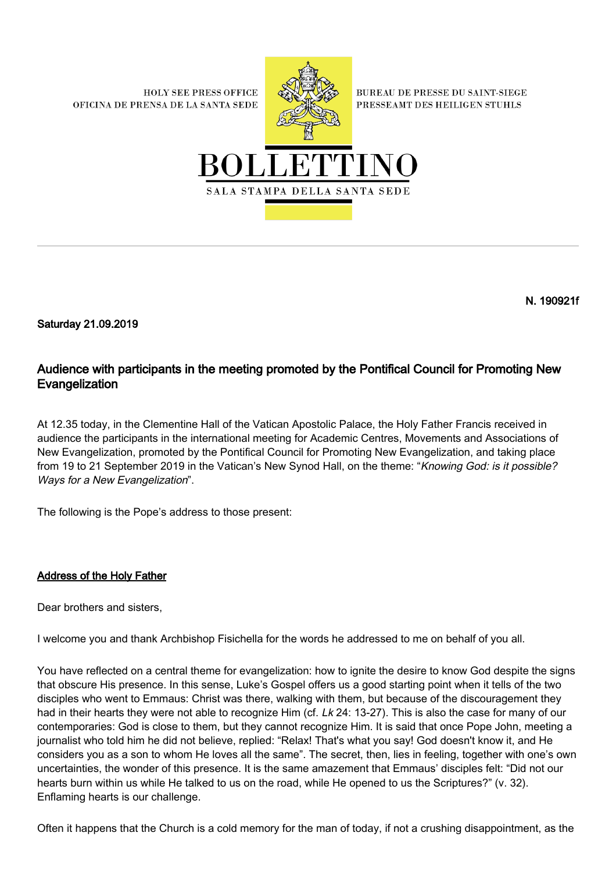**HOLY SEE PRESS OFFICE** OFICINA DE PRENSA DE LA SANTA SEDE



**BUREAU DE PRESSE DU SAINT-SIEGE** PRESSEAMT DES HEILIGEN STUHLS



N. 190921f

Saturday 21.09.2019

## Audience with participants in the meeting promoted by the Pontifical Council for Promoting New Evangelization

At 12.35 today, in the Clementine Hall of the Vatican Apostolic Palace, the Holy Father Francis received in audience the participants in the international meeting for Academic Centres, Movements and Associations of New Evangelization, promoted by the Pontifical Council for Promoting New Evangelization, and taking place from 19 to 21 September 2019 in the Vatican's New Synod Hall, on the theme: "Knowing God: is it possible? Ways for a New Evangelization".

The following is the Pope's address to those present:

## Address of the Holy Father

Dear brothers and sisters,

I welcome you and thank Archbishop Fisichella for the words he addressed to me on behalf of you all.

You have reflected on a central theme for evangelization: how to ignite the desire to know God despite the signs that obscure His presence. In this sense, Luke's Gospel offers us a good starting point when it tells of the two disciples who went to Emmaus: Christ was there, walking with them, but because of the discouragement they had in their hearts they were not able to recognize Him (cf. Lk 24: 13-27). This is also the case for many of our contemporaries: God is close to them, but they cannot recognize Him. It is said that once Pope John, meeting a journalist who told him he did not believe, replied: "Relax! That's what you say! God doesn't know it, and He considers you as a son to whom He loves all the same". The secret, then, lies in feeling, together with one's own uncertainties, the wonder of this presence. It is the same amazement that Emmaus' disciples felt: "Did not our hearts burn within us while He talked to us on the road, while He opened to us the Scriptures?" (v. 32). Enflaming hearts is our challenge.

Often it happens that the Church is a cold memory for the man of today, if not a crushing disappointment, as the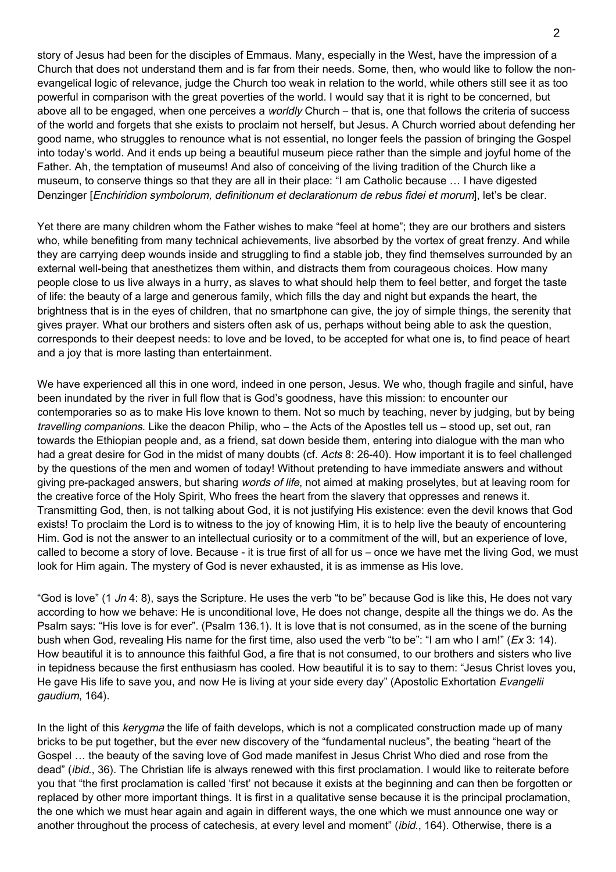story of Jesus had been for the disciples of Emmaus. Many, especially in the West, have the impression of a Church that does not understand them and is far from their needs. Some, then, who would like to follow the nonevangelical logic of relevance, judge the Church too weak in relation to the world, while others still see it as too powerful in comparison with the great poverties of the world. I would say that it is right to be concerned, but above all to be engaged, when one perceives a *worldly* Church – that is, one that follows the criteria of success of the world and forgets that she exists to proclaim not herself, but Jesus. A Church worried about defending her good name, who struggles to renounce what is not essential, no longer feels the passion of bringing the Gospel into today's world. And it ends up being a beautiful museum piece rather than the simple and joyful home of the Father. Ah, the temptation of museums! And also of conceiving of the living tradition of the Church like a museum, to conserve things so that they are all in their place: "I am Catholic because … I have digested Denzinger [Enchiridion symbolorum, definitionum et declarationum de rebus fidei et morum], let's be clear.

Yet there are many children whom the Father wishes to make "feel at home"; they are our brothers and sisters who, while benefiting from many technical achievements, live absorbed by the vortex of great frenzy. And while they are carrying deep wounds inside and struggling to find a stable job, they find themselves surrounded by an external well-being that anesthetizes them within, and distracts them from courageous choices. How many people close to us live always in a hurry, as slaves to what should help them to feel better, and forget the taste of life: the beauty of a large and generous family, which fills the day and night but expands the heart, the brightness that is in the eyes of children, that no smartphone can give, the joy of simple things, the serenity that gives prayer. What our brothers and sisters often ask of us, perhaps without being able to ask the question, corresponds to their deepest needs: to love and be loved, to be accepted for what one is, to find peace of heart and a joy that is more lasting than entertainment.

We have experienced all this in one word, indeed in one person, Jesus. We who, though fragile and sinful, have been inundated by the river in full flow that is God's goodness, have this mission: to encounter our contemporaries so as to make His love known to them. Not so much by teaching, never by judging, but by being travelling companions. Like the deacon Philip, who – the Acts of the Apostles tell us – stood up, set out, ran towards the Ethiopian people and, as a friend, sat down beside them, entering into dialogue with the man who had a great desire for God in the midst of many doubts (cf. Acts 8: 26-40). How important it is to feel challenged by the questions of the men and women of today! Without pretending to have immediate answers and without giving pre-packaged answers, but sharing words of life, not aimed at making proselytes, but at leaving room for the creative force of the Holy Spirit, Who frees the heart from the slavery that oppresses and renews it. Transmitting God, then, is not talking about God, it is not justifying His existence: even the devil knows that God exists! To proclaim the Lord is to witness to the joy of knowing Him, it is to help live the beauty of encountering Him. God is not the answer to an intellectual curiosity or to a commitment of the will, but an experience of love, called to become a story of love. Because - it is true first of all for us – once we have met the living God, we must look for Him again. The mystery of God is never exhausted, it is as immense as His love.

"God is love" (1 Jn 4: 8), says the Scripture. He uses the verb "to be" because God is like this, He does not vary according to how we behave: He is unconditional love, He does not change, despite all the things we do. As the Psalm says: "His love is for ever". (Psalm 136.1). It is love that is not consumed, as in the scene of the burning bush when God, revealing His name for the first time, also used the verb "to be": "I am who I am!" (Ex 3: 14). How beautiful it is to announce this faithful God, a fire that is not consumed, to our brothers and sisters who live in tepidness because the first enthusiasm has cooled. How beautiful it is to say to them: "Jesus Christ loves you, He gave His life to save you, and now He is living at your side every day" (Apostolic Exhortation Evangelii gaudium, 164).

In the light of this kerygma the life of faith develops, which is not a complicated construction made up of many bricks to be put together, but the ever new discovery of the "fundamental nucleus", the beating "heart of the Gospel … the beauty of the saving love of God made manifest in Jesus Christ Who died and rose from the dead" (ibid., 36). The Christian life is always renewed with this first proclamation. I would like to reiterate before you that "the first proclamation is called 'first' not because it exists at the beginning and can then be forgotten or replaced by other more important things. It is first in a qualitative sense because it is the principal proclamation, the one which we must hear again and again in different ways, the one which we must announce one way or another throughout the process of catechesis, at every level and moment" (*ibid.*, 164). Otherwise, there is a